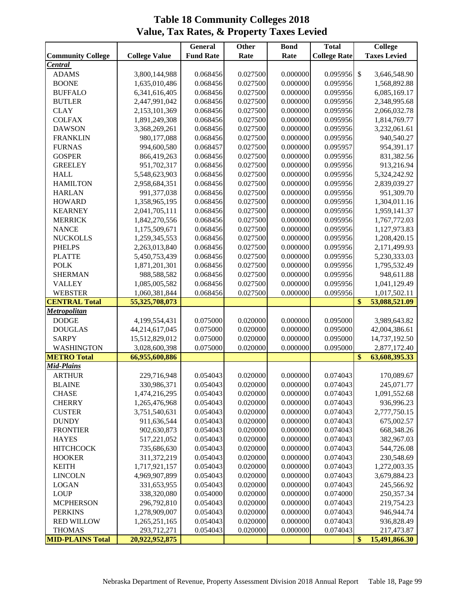|                          |                      | $\overline{G}$ eneral | <b>Other</b> | <b>Bond</b> | <b>Total</b>        | <b>College</b>                |
|--------------------------|----------------------|-----------------------|--------------|-------------|---------------------|-------------------------------|
| <b>Community College</b> | <b>College Value</b> | <b>Fund Rate</b>      | Rate         | Rate        | <b>College Rate</b> | <b>Taxes Levied</b>           |
| <b>Central</b>           |                      |                       |              |             |                     |                               |
| <b>ADAMS</b>             | 3,800,144,988        | 0.068456              | 0.027500     | 0.000000    | 0.095956            | $\mathcal{S}$<br>3,646,548.90 |
| <b>BOONE</b>             | 1,635,010,486        | 0.068456              | 0.027500     | 0.000000    | 0.095956            | 1,568,892.88                  |
| <b>BUFFALO</b>           | 6,341,616,405        | 0.068456              | 0.027500     | 0.000000    | 0.095956            | 6,085,169.17                  |
| <b>BUTLER</b>            | 2,447,991,042        | 0.068456              | 0.027500     | 0.000000    | 0.095956            | 2,348,995.68                  |
| <b>CLAY</b>              | 2,153,101,369        | 0.068456              | 0.027500     | 0.000000    | 0.095956            | 2,066,032.78                  |
| <b>COLFAX</b>            | 1,891,249,308        | 0.068456              | 0.027500     | 0.000000    | 0.095956            | 1,814,769.77                  |
| <b>DAWSON</b>            | 3,368,269,261        | 0.068456              | 0.027500     | 0.000000    | 0.095956            | 3,232,061.61                  |
| <b>FRANKLIN</b>          | 980,177,088          | 0.068456              | 0.027500     | 0.000000    | 0.095956            | 940,540.27                    |
| <b>FURNAS</b>            | 994,600,580          | 0.068457              | 0.027500     | 0.000000    | 0.095957            | 954,391.17                    |
| <b>GOSPER</b>            | 866,419,263          | 0.068456              | 0.027500     | 0.000000    | 0.095956            | 831,382.56                    |
| <b>GREELEY</b>           | 951,702,317          | 0.068456              | 0.027500     | 0.000000    | 0.095956            | 913,216.94                    |
| <b>HALL</b>              | 5,548,623,903        | 0.068456              | 0.027500     | 0.000000    | 0.095956            | 5,324,242.92                  |
| <b>HAMILTON</b>          | 2,958,684,351        | 0.068456              | 0.027500     | 0.000000    | 0.095956            | 2,839,039.27                  |
| <b>HARLAN</b>            | 991,377,038          | 0.068456              | 0.027500     | 0.000000    | 0.095956            | 951,309.70                    |
| <b>HOWARD</b>            | 1,358,965,195        | 0.068456              | 0.027500     | 0.000000    | 0.095956            | 1,304,011.16                  |
| <b>KEARNEY</b>           | 2,041,705,111        | 0.068456              | 0.027500     | 0.000000    | 0.095956            | 1,959,141.37                  |
| <b>MERRICK</b>           | 1,842,270,556        | 0.068456              | 0.027500     | 0.000000    | 0.095956            | 1,767,772.03                  |
| <b>NANCE</b>             | 1,175,509,671        | 0.068456              | 0.027500     | 0.000000    | 0.095956            | 1,127,973.83                  |
| <b>NUCKOLLS</b>          | 1,259,345,553        | 0.068456              | 0.027500     | 0.000000    | 0.095956            | 1,208,420.15                  |
| <b>PHELPS</b>            | 2,263,013,840        | 0.068456              | 0.027500     | 0.000000    | 0.095956            | 2,171,499.93                  |
| <b>PLATTE</b>            | 5,450,753,439        | 0.068456              | 0.027500     | 0.000000    | 0.095956            | 5,230,333.03                  |
| <b>POLK</b>              | 1,871,201,301        | 0.068456              | 0.027500     | 0.000000    | 0.095956            | 1,795,532.49                  |
| <b>SHERMAN</b>           | 988,588,582          | 0.068456              | 0.027500     | 0.000000    | 0.095956            | 948,611.88                    |
| <b>VALLEY</b>            | 1,085,005,582        | 0.068456              | 0.027500     | 0.000000    | 0.095956            | 1,041,129.49                  |
| <b>WEBSTER</b>           | 1,060,381,844        | 0.068456              | 0.027500     | 0.000000    | 0.095956            | 1,017,502.11                  |
| <b>CENTRAL Total</b>     | 55,325,708,073       |                       |              |             |                     | \$<br>53,088,521.09           |
| <b>Metropolitan</b>      |                      |                       |              |             |                     |                               |
| <b>DODGE</b>             | 4,199,554,431        | 0.075000              | 0.020000     | 0.000000    | 0.095000            | 3,989,643.82                  |
| <b>DOUGLAS</b>           | 44,214,617,045       | 0.075000              | 0.020000     | 0.000000    | 0.095000            | 42,004,386.61                 |
| <b>SARPY</b>             | 15,512,829,012       | 0.075000              | 0.020000     | 0.000000    | 0.095000            | 14,737,192.50                 |
| WASHINGTON               | 3,028,600,398        | 0.075000              | 0.020000     | 0.000000    | 0.095000            | 2,877,172.40                  |
| <b>METRO Total</b>       | 66,955,600,886       |                       |              |             |                     | \$<br>63,608,395.33           |
| Mid-Plains               |                      |                       |              |             |                     |                               |
| <b>ARTHUR</b>            | 229,716,948          | 0.054043              | 0.020000     | 0.000000    | 0.074043            | 170,089.67                    |
| <b>BLAINE</b>            | 330,986,371          | 0.054043              | 0.020000     | 0.000000    | 0.074043            | 245,071.77                    |
| <b>CHASE</b>             | 1,474,216,295        | 0.054043              | 0.020000     | 0.000000    | 0.074043            | 1,091,552.68                  |
| <b>CHERRY</b>            | 1,265,476,968        | 0.054043              | 0.020000     | 0.000000    | 0.074043            | 936,996.23                    |
| <b>CUSTER</b>            | 3,751,540,631        | 0.054043              | 0.020000     | 0.000000    | 0.074043            | 2,777,750.15                  |
| <b>DUNDY</b>             | 911,636,544          | 0.054043              | 0.020000     | 0.000000    | 0.074043            | 675,002.57                    |
| <b>FRONTIER</b>          | 902,630,873          | 0.054043              | 0.020000     | 0.000000    | 0.074043            | 668,348.26                    |
| <b>HAYES</b>             | 517,221,052          | 0.054043              | 0.020000     | 0.000000    | 0.074043            | 382,967.03                    |
| <b>HITCHCOCK</b>         | 735,686,630          | 0.054043              | 0.020000     | 0.000000    | 0.074043            | 544,726.08                    |
| <b>HOOKER</b>            | 311,372,219          | 0.054043              | 0.020000     | 0.000000    | 0.074043            | 230,548.69                    |
| <b>KEITH</b>             | 1,717,921,157        | 0.054043              | 0.020000     | 0.000000    | 0.074043            | 1,272,003.35                  |
| <b>LINCOLN</b>           | 4,969,907,899        | 0.054043              | 0.020000     | 0.000000    | 0.074043            | 3,679,884.23                  |
| <b>LOGAN</b>             | 331,653,955          | 0.054043              | 0.020000     | 0.000000    | 0.074043            | 245,566.92                    |
| <b>LOUP</b>              | 338,320,080          | 0.054000              | 0.020000     | 0.000000    | 0.074000            | 250,357.34                    |
| <b>MCPHERSON</b>         | 296,792,810          | 0.054043              | 0.020000     | 0.000000    | 0.074043            | 219,754.23                    |
| <b>PERKINS</b>           | 1,278,909,007        | 0.054043              | 0.020000     | 0.000000    | 0.074043            | 946,944.74                    |
| <b>RED WILLOW</b>        | 1,265,251,165        | 0.054043              | 0.020000     | 0.000000    | 0.074043            | 936,828.49                    |
| <b>THOMAS</b>            | 293,712,271          | 0.054043              | 0.020000     | 0.000000    | 0.074043            | 217,473.87                    |
| <b>MID-PLAINS Total</b>  | 20,922,952,875       |                       |              |             |                     | \$<br>15,491,866.30           |

## **Table 18 Community Colleges 2018 Value, Tax Rates, & Property Taxes Levied**